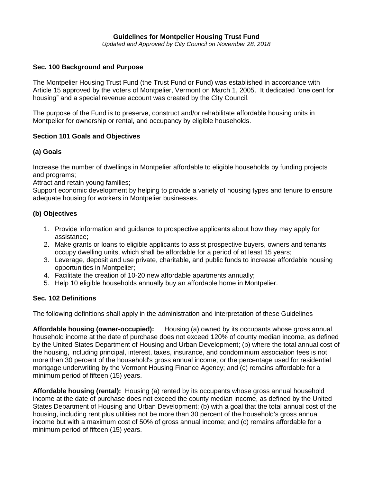### **Guidelines for Montpelier Housing Trust Fund**

*Updated and Approved by City Council on November 28, 2018*

### **Sec. 100 Background and Purpose**

The Montpelier Housing Trust Fund (the Trust Fund or Fund) was established in accordance with Article 15 approved by the voters of Montpelier, Vermont on March 1, 2005. It dedicated "one cent for housing" and a special revenue account was created by the City Council.

The purpose of the Fund is to preserve, construct and/or rehabilitate affordable housing units in Montpelier for ownership or rental, and occupancy by eligible households.

### **Section 101 Goals and Objectives**

### **(a) Goals**

Increase the number of dwellings in Montpelier affordable to eligible households by funding projects and programs;

Attract and retain young families;

Support economic development by helping to provide a variety of housing types and tenure to ensure adequate housing for workers in Montpelier businesses.

### **(b) Objectives**

- 1. Provide information and guidance to prospective applicants about how they may apply for assistance;
- 2. Make grants or loans to eligible applicants to assist prospective buyers, owners and tenants occupy dwelling units, which shall be affordable for a period of at least 15 years;
- 3. Leverage, deposit and use private, charitable, and public funds to increase affordable housing opportunities in Montpelier;
- 4. Facilitate the creation of 10-20 new affordable apartments annually;
- 5. Help 10 eligible households annually buy an affordable home in Montpelier.

### **Sec. 102 Definitions**

The following definitions shall apply in the administration and interpretation of these Guidelines

**Affordable housing (owner-occupied):** Housing (a) owned by its occupants whose gross annual household income at the date of purchase does not exceed 120% of county median income, as defined by the United States Department of Housing and Urban Development; (b) where the total annual cost of the housing, including principal, interest, taxes, insurance, and condominium association fees is not more than 30 percent of the household's gross annual income; or the percentage used for residential mortgage underwriting by the Vermont Housing Finance Agency; and (c) remains affordable for a minimum period of fifteen (15) years.

**Affordable housing (rental):** Housing (a) rented by its occupants whose gross annual household income at the date of purchase does not exceed the county median income, as defined by the United States Department of Housing and Urban Development; (b) with a goal that the total annual cost of the housing, including rent plus utilities not be more than 30 percent of the household's gross annual income but with a maximum cost of 50% of gross annual income; and (c) remains affordable for a minimum period of fifteen (15) years.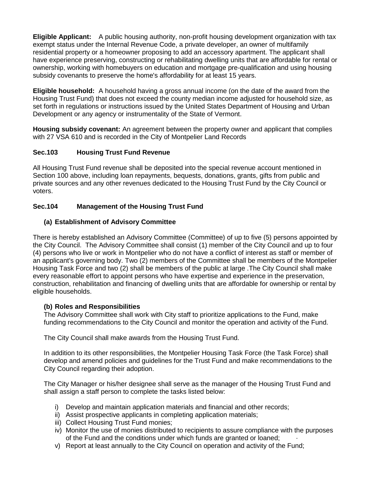**Eligible Applicant:** A public housing authority, non-profit housing development organization with tax exempt status under the Internal Revenue Code, a private developer, an owner of multifamily residential property or a homeowner proposing to add an accessory apartment. The applicant shall have experience preserving, constructing or rehabilitating dwelling units that are affordable for rental or ownership, working with homebuyers on education and mortgage pre-qualification and using housing subsidy covenants to preserve the home's affordability for at least 15 years.

**Eligible household:** A household having a gross annual income (on the date of the award from the Housing Trust Fund) that does not exceed the county median income adjusted for household size, as set forth in regulations or instructions issued by the United States Department of Housing and Urban Development or any agency or instrumentality of the State of Vermont.

**Housing subsidy covenant:** An agreement between the property owner and applicant that complies with 27 VSA 610 and is recorded in the City of Montpelier Land Records

# **Sec.103 Housing Trust Fund Revenue**

All Housing Trust Fund revenue shall be deposited into the special revenue account mentioned in Section 100 above, including loan repayments, bequests, donations, grants, gifts from public and private sources and any other revenues dedicated to the Housing Trust Fund by the City Council or voters.

## **Sec.104 Management of the Housing Trust Fund**

## **(a) Establishment of Advisory Committee**

There is hereby established an Advisory Committee (Committee) of up to five (5) persons appointed by the City Council. The Advisory Committee shall consist (1) member of the City Council and up to four (4) persons who live or work in Montpelier who do not have a conflict of interest as staff or member of an applicant's governing body. Two (2) members of the Committee shall be members of the Montpelier Housing Task Force and two (2) shall be members of the public at large .The City Council shall make every reasonable effort to appoint persons who have expertise and experience in the preservation, construction, rehabilitation and financing of dwelling units that are affordable for ownership or rental by eligible households.

## **(b) Roles and Responsibilities**

The Advisory Committee shall work with City staff to prioritize applications to the Fund, make funding recommendations to the City Council and monitor the operation and activity of the Fund.

The City Council shall make awards from the Housing Trust Fund.

In addition to its other responsibilities, the Montpelier Housing Task Force (the Task Force) shall develop and amend policies and guidelines for the Trust Fund and make recommendations to the City Council regarding their adoption.

The City Manager or his/her designee shall serve as the manager of the Housing Trust Fund and shall assign a staff person to complete the tasks listed below:

- i) Develop and maintain application materials and financial and other records;
- ii) Assist prospective applicants in completing application materials;
- iii) Collect Housing Trust Fund monies;
- iv) Monitor the use of monies distributed to recipients to assure compliance with the purposes of the Fund and the conditions under which funds are granted or loaned; ·
- v) Report at least annually to the City Council on operation and activity of the Fund;